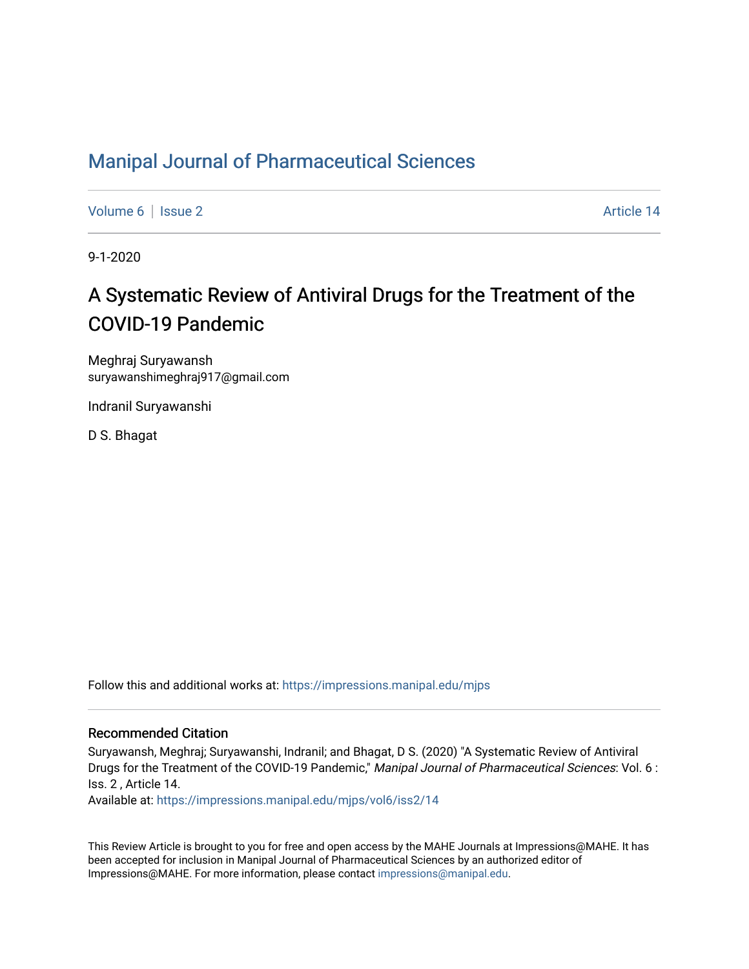### [Manipal Journal of Pharmaceutical Sciences](https://impressions.manipal.edu/mjps)

[Volume 6](https://impressions.manipal.edu/mjps/vol6) | [Issue 2](https://impressions.manipal.edu/mjps/vol6/iss2) Article 14

9-1-2020

# A Systematic Review of Antiviral Drugs for the Treatment of the COVID-19 Pandemic

Meghraj Suryawansh suryawanshimeghraj917@gmail.com

Indranil Suryawanshi

D S. Bhagat

Follow this and additional works at: [https://impressions.manipal.edu/mjps](https://impressions.manipal.edu/mjps?utm_source=impressions.manipal.edu%2Fmjps%2Fvol6%2Fiss2%2F14&utm_medium=PDF&utm_campaign=PDFCoverPages)

#### Recommended Citation

Suryawansh, Meghraj; Suryawanshi, Indranil; and Bhagat, D S. (2020) "A Systematic Review of Antiviral Drugs for the Treatment of the COVID-19 Pandemic," Manipal Journal of Pharmaceutical Sciences: Vol. 6 : Iss. 2 , Article 14.

Available at: [https://impressions.manipal.edu/mjps/vol6/iss2/14](https://impressions.manipal.edu/mjps/vol6/iss2/14?utm_source=impressions.manipal.edu%2Fmjps%2Fvol6%2Fiss2%2F14&utm_medium=PDF&utm_campaign=PDFCoverPages) 

This Review Article is brought to you for free and open access by the MAHE Journals at Impressions@MAHE. It has been accepted for inclusion in Manipal Journal of Pharmaceutical Sciences by an authorized editor of Impressions@MAHE. For more information, please contact [impressions@manipal.edu](mailto:impressions@manipal.edu).